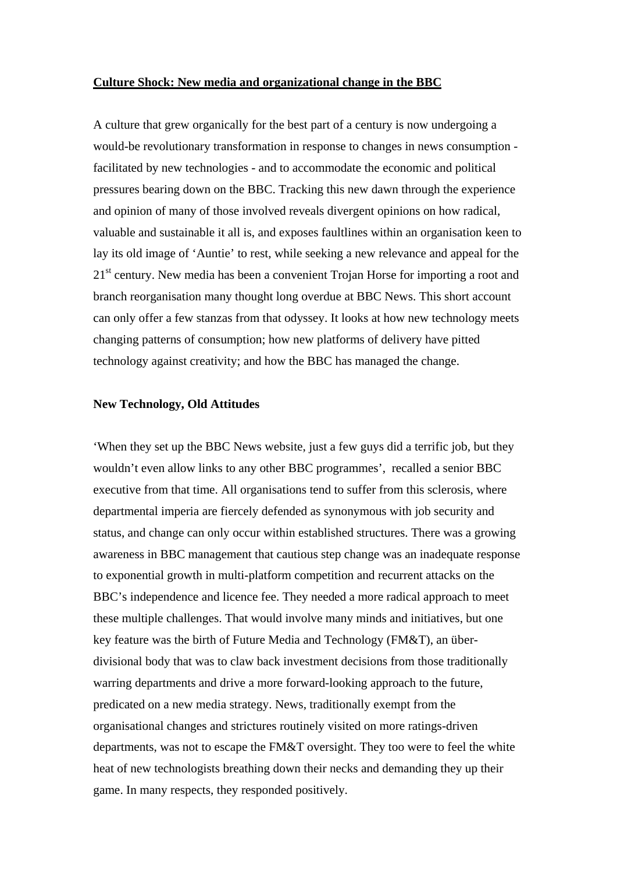#### **Culture Shock: New media and organizational change in the BBC**

A culture that grew organically for the best part of a century is now undergoing a would-be revolutionary transformation in response to changes in news consumption facilitated by new technologies - and to accommodate the economic and political pressures bearing down on the BBC. Tracking this new dawn through the experience and opinion of many of those involved reveals divergent opinions on how radical, valuable and sustainable it all is, and exposes faultlines within an organisation keen to lay its old image of 'Auntie' to rest, while seeking a new relevance and appeal for the 21<sup>st</sup> century. New media has been a convenient Trojan Horse for importing a root and branch reorganisation many thought long overdue at BBC News. This short account can only offer a few stanzas from that odyssey. It looks at how new technology meets changing patterns of consumption; how new platforms of delivery have pitted technology against creativity; and how the BBC has managed the change.

### **New Technology, Old Attitudes**

'When they set up the BBC News website, just a few guys did a terrific job, but they wouldn't even allow links to any other BBC programmes', recalled a senior BBC executive from that time. All organisations tend to suffer from this sclerosis, where departmental imperia are fiercely defended as synonymous with job security and status, and change can only occur within established structures. There was a growing awareness in BBC management that cautious step change was an inadequate response to exponential growth in multi-platform competition and recurrent attacks on the BBC's independence and licence fee. They needed a more radical approach to meet these multiple challenges. That would involve many minds and initiatives, but one key feature was the birth of Future Media and Technology (FM&T), an überdivisional body that was to claw back investment decisions from those traditionally warring departments and drive a more forward-looking approach to the future, predicated on a new media strategy. News, traditionally exempt from the organisational changes and strictures routinely visited on more ratings-driven departments, was not to escape the FM&T oversight. They too were to feel the white heat of new technologists breathing down their necks and demanding they up their game. In many respects, they responded positively.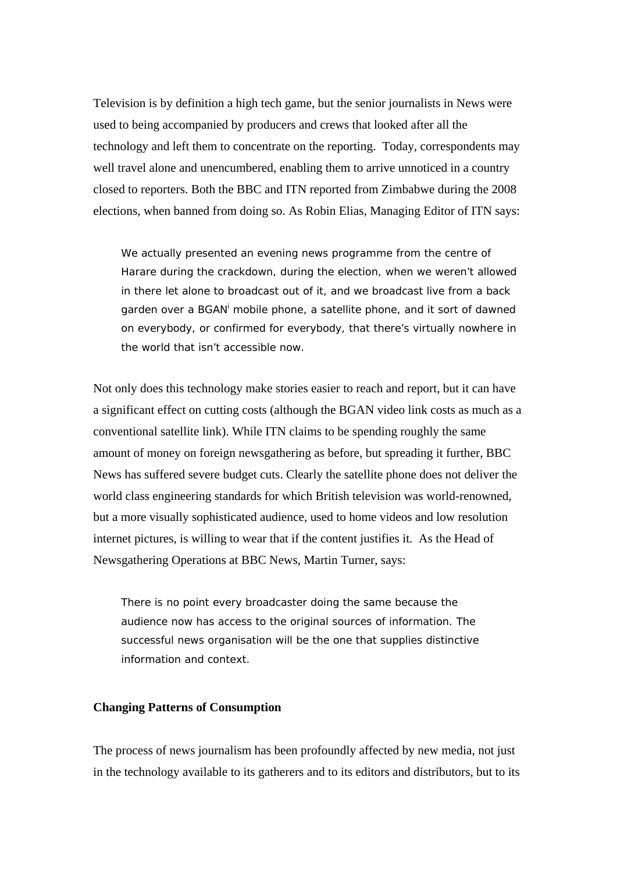Television is by definition a high tech game, but the senior journalists in News were used to being accompanied by producers and crews that looked after all the technology and left them to concentrate on the reporting. Today, correspondents may well travel alone and unencumbered, enabling them to arrive unnoticed in a country closed to reporters. Both the BBC and ITN reported from Zimbabwe during the 2008 elections, when banned from doing so. As Robin Elias, Managing Editor of ITN says:

We actually presented an evening news programme from the centre of Harare during the crackdown, during the election, when we weren't allowed in there let alone to broadcast out of it, and we broadcast live from a back garden over a BGAN<sup>i</sup> mobile phone, a satellite phone, and it sort of dawned on everybody, or confirmed for everybody, that there's virtually nowhere in the world that isn't accessible now.

Not only does this technology make stories easier to reach and report, but it can have a significant effect on cutting costs (although the BGAN video link costs as much as a conventional satellite link). While ITN claims to be spending roughly the same amount of money on foreign newsgathering as before, but spreading it further, BBC News has suffered severe budget cuts. Clearly the satellite phone does not deliver the world class engineering standards for which British television was world-renowned, but a more visually sophisticated audience, used to home videos and low resolution internet pictures, is willing to wear that if the content justifies it. As the Head of Newsgathering Operations at BBC News, Martin Turner, says:

There is no point every broadcaster doing the same because the audience now has access to the original sources of information. The successful news organisation will be the one that supplies distinctive information and context.

## **Changing Patterns of Consumption**

The process of news journalism has been profoundly affected by new media, not just in the technology available to its gatherers and to its editors and distributors, but to its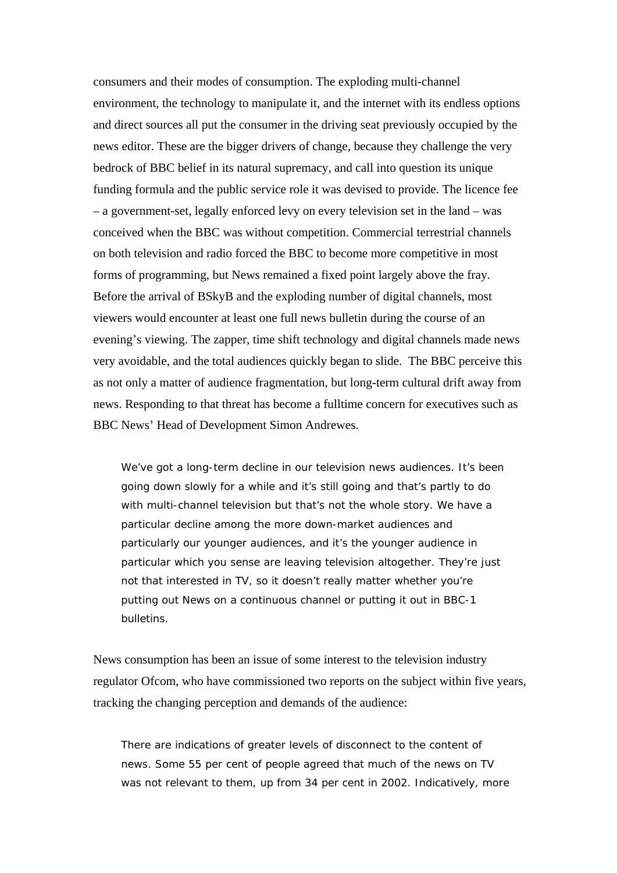consumers and their modes of consumption. The exploding multi-channel environment, the technology to manipulate it, and the internet with its endless options and direct sources all put the consumer in the driving seat previously occupied by the news editor. These are the bigger drivers of change, because they challenge the very bedrock of BBC belief in its natural supremacy, and call into question its unique funding formula and the public service role it was devised to provide. The licence fee – a government-set, legally enforced levy on every television set in the land – was conceived when the BBC was without competition. Commercial terrestrial channels on both television and radio forced the BBC to become more competitive in most forms of programming, but News remained a fixed point largely above the fray. Before the arrival of BSkyB and the exploding number of digital channels, most viewers would encounter at least one full news bulletin during the course of an evening's viewing. The zapper, time shift technology and digital channels made news very avoidable, and the total audiences quickly began to slide. The BBC perceive this as not only a matter of audience fragmentation, but long-term cultural drift away from news. Responding to that threat has become a fulltime concern for executives such as BBC News' Head of Development Simon Andrewes.

We've got a long-term decline in our television news audiences. It's been going down slowly for a while and it's still going and that's partly to do with multi-channel television but that's not the whole story. We have a particular decline among the more down-market audiences and particularly our younger audiences, and it's the younger audience in particular which you sense are leaving television altogether. They're just not that interested in TV, so it doesn't really matter whether you're putting out News on a continuous channel or putting it out in BBC-1 bulletins.

News consumption has been an issue of some interest to the television industry regulator Ofcom, who have commissioned two reports on the subject within five years, tracking the changing perception and demands of the audience:

There are indications of greater levels of disconnect to the content of news. Some 55 per cent of people agreed that much of the news on TV was not relevant to them, up from 34 per cent in 2002. Indicatively, more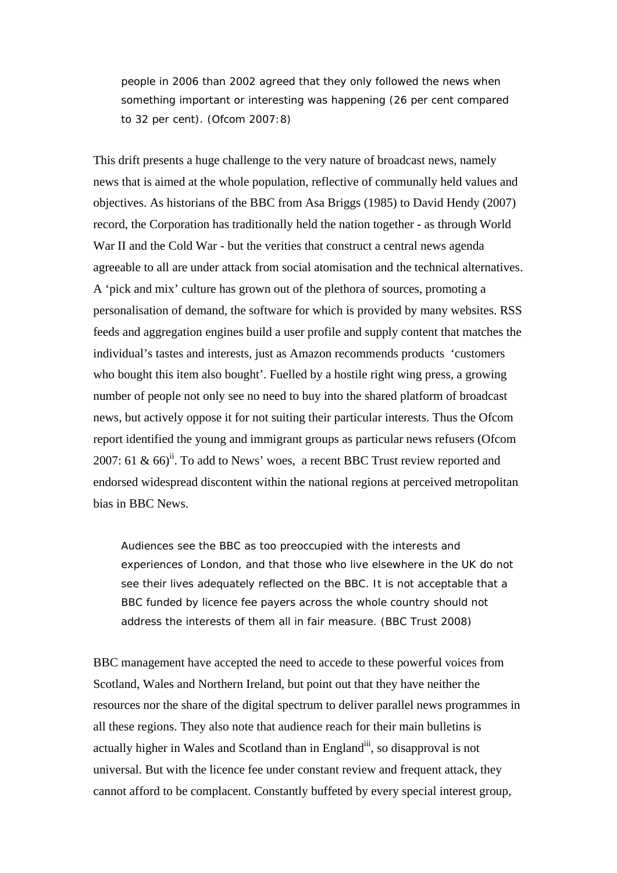people in 2006 than 2002 agreed that they only followed the news when something important or interesting was happening (26 per cent compared to 32 per cent). (Ofcom 2007:8)

This drift presents a huge challenge to the very nature of broadcast news, namely news that is aimed at the whole population, reflective of communally held values and objectives. As historians of the BBC from Asa Briggs (1985) to David Hendy (2007) record, the Corporation has traditionally held the nation together - as through World War II and the Cold War - but the verities that construct a central news agenda agreeable to all are under attack from social atomisation and the technical alternatives. A 'pick and mix' culture has grown out of the plethora of sources, promoting a personalisation of demand, the software for which is provided by many websites. RSS feeds and aggregation engines build a user profile and supply content that matches the individual's tastes and interests, just as Amazon recommends products 'customers who bought this item also bought'. Fuelled by a hostile right wing press, a growing number of people not only see no need to buy into the shared platform of broadcast news, but actively oppose it for not suiting their particular interests. Thus the Ofcom report identified the young and immigrant groups as particular news refusers (Ofcom 2007: 61 & 66)<sup>ii</sup>. To add to News' woes, a recent BBC Trust review reported and endorsed widespread discontent within the national regions at perceived metropolitan bias in BBC News.

Audiences see the BBC as too preoccupied with the interests and experiences of London, and that those who live elsewhere in the UK do not see their lives adequately reflected on the BBC. It is not acceptable that a BBC funded by licence fee payers across the whole country should not address the interests of them all in fair measure. (BBC Trust 2008)

BBC management have accepted the need to accede to these powerful voices from Scotland, Wales and Northern Ireland, but point out that they have neither the resources nor the share of the digital spectrum to deliver parallel news programmes in all these regions. They also note that audience reach for their main bulletins is actually higher in Wales and Scotland than in England<sup>iii</sup>, so disapproval is not universal. But with the licence fee under constant review and frequent attack, they cannot afford to be complacent. Constantly buffeted by every special interest group,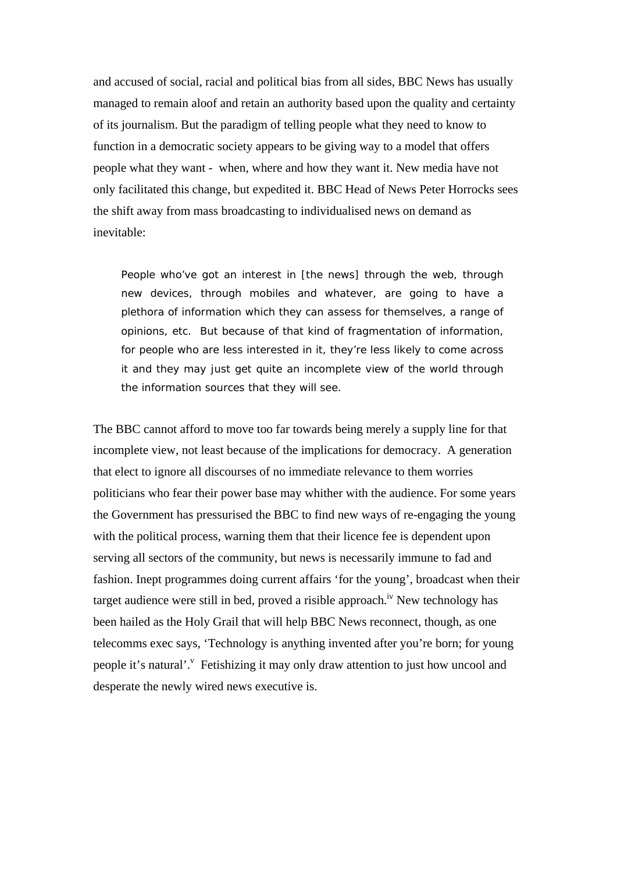and accused of social, racial and political bias from all sides, BBC News has usually managed to remain aloof and retain an authority based upon the quality and certainty of its journalism. But the paradigm of telling people what they need to know to function in a democratic society appears to be giving way to a model that offers people what they want - when, where and how they want it. New media have not only facilitated this change, but expedited it. BBC Head of News Peter Horrocks sees the shift away from mass broadcasting to individualised news on demand as inevitable:

People who've got an interest in [the news] through the web, through new devices, through mobiles and whatever, are going to have a plethora of information which they can assess for themselves, a range of opinions, etc. But because of that kind of fragmentation of information, for people who are less interested in it, they're less likely to come across it and they may just get quite an incomplete view of the world through the information sources that they will see.

The BBC cannot afford to move too far towards being merely a supply line for that incomplete view, not least because of the implications for democracy. A generation that elect to ignore all discourses of no immediate relevance to them worries politicians who fear their power base may whither with the audience. For some years the Government has pressurised the BBC to find new ways of re-engaging the young with the political process, warning them that their licence fee is dependent upon serving all sectors of the community, but news is necessarily immune to fad and fashion. Inept programmes doing current affairs 'for the young', broadcast when their target audience were still in bed, proved a risible approach.<sup>iv</sup> New technology has been hailed as the Holy Grail that will help BBC News reconnect, though, as one telecomms exec says, 'Technology is anything invented after you're born; for young people it's natural'. Fetishizing it may only draw attention to just how uncool and desperate the newly wired news executive is.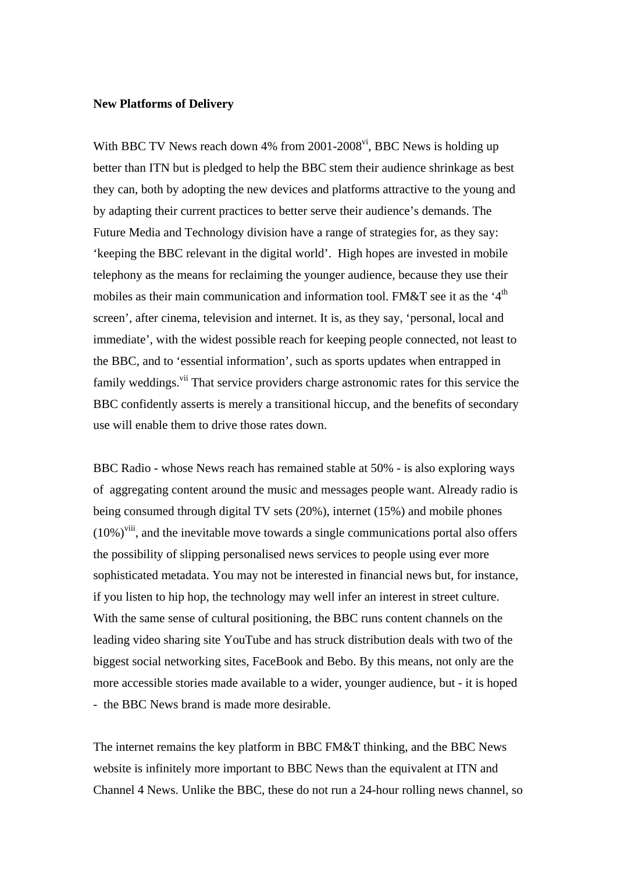## **New Platforms of Delivery**

With BBC TV News reach down 4% from 2001-2008 $\rm{v}^{\rm{i}}$ , BBC News is holding up better than ITN but is pledged to help the BBC stem their audience shrinkage as best they can, both by adopting the new devices and platforms attractive to the young and by adapting their current practices to better serve their audience's demands. The Future Media and Technology division have a range of strategies for, as they say: 'keeping the BBC relevant in the digital world'. High hopes are invested in mobile telephony as the means for reclaiming the younger audience, because they use their mobiles as their main communication and information tool. FM&T see it as the  $4<sup>th</sup>$ screen', after cinema, television and internet. It is, as they say, 'personal, local and immediate', with the widest possible reach for keeping people connected, not least to the BBC, and to 'essential information', such as sports updates when entrapped in family weddings.<sup>vii</sup> That service providers charge astronomic rates for this service the BBC confidently asserts is merely a transitional hiccup, and the benefits of secondary use will enable them to drive those rates down.

BBC Radio - whose News reach has remained stable at 50% - is also exploring ways of aggregating content around the music and messages people want. Already radio is being consumed through digital TV sets (20%), internet (15%) and mobile phones  $(10\%)$ <sup>viii</sup>, and the inevitable move towards a single communications portal also offers the possibility of slipping personalised news services to people using ever more sophisticated metadata. You may not be interested in financial news but, for instance, if you listen to hip hop, the technology may well infer an interest in street culture. With the same sense of cultural positioning, the BBC runs content channels on the leading video sharing site YouTube and has struck distribution deals with two of the biggest social networking sites, FaceBook and Bebo. By this means, not only are the more accessible stories made available to a wider, younger audience, but - it is hoped - the BBC News brand is made more desirable.

The internet remains the key platform in BBC FM&T thinking, and the BBC News website is infinitely more important to BBC News than the equivalent at ITN and Channel 4 News. Unlike the BBC, these do not run a 24-hour rolling news channel, so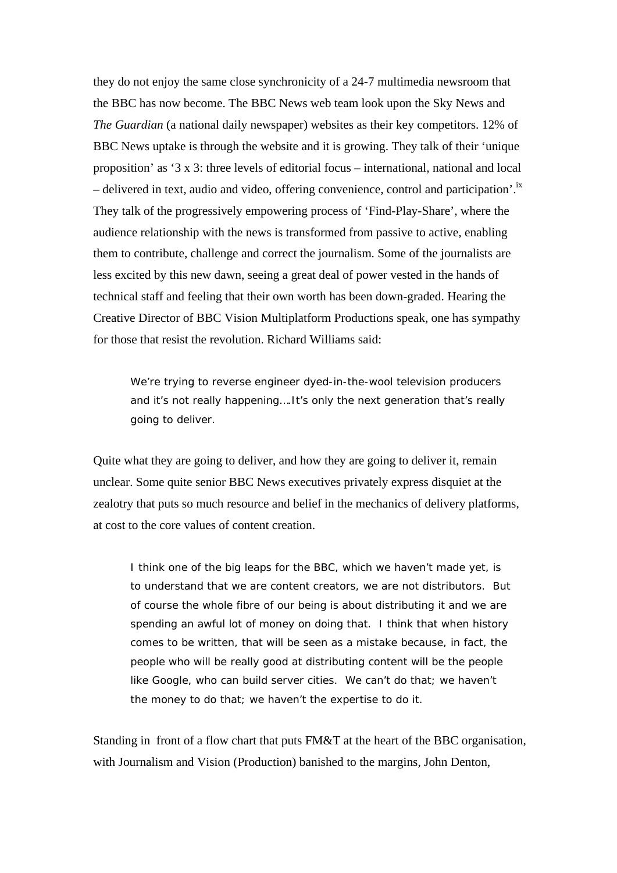they do not enjoy the same close synchronicity of a 24-7 multimedia newsroom that the BBC has now become. The BBC News web team look upon the Sky News and *The Guardian* (a national daily newspaper) websites as their key competitors. 12% of BBC News uptake is through the website and it is growing. They talk of their 'unique proposition' as '3 x 3: three levels of editorial focus – international, national and local – delivered in text, audio and video, offering convenience, control and participation'.<sup>ix</sup> They talk of the progressively empowering process of 'Find-Play-Share', where the audience relationship with the news is transformed from passive to active, enabling them to contribute, challenge and correct the journalism. Some of the journalists are less excited by this new dawn, seeing a great deal of power vested in the hands of technical staff and feeling that their own worth has been down-graded. Hearing the Creative Director of BBC Vision Multiplatform Productions speak, one has sympathy for those that resist the revolution. Richard Williams said:

We're trying to reverse engineer dyed-in-the-wool television producers and it's not really happening….It's only the next generation that's really going to deliver.

Quite what they are going to deliver, and how they are going to deliver it, remain unclear. Some quite senior BBC News executives privately express disquiet at the zealotry that puts so much resource and belief in the mechanics of delivery platforms, at cost to the core values of content creation.

I think one of the big leaps for the BBC, which we haven't made yet, is to understand that we are content creators, we are not distributors. But of course the whole fibre of our being is about distributing it and we are spending an awful lot of money on doing that. I think that when history comes to be written, that will be seen as a mistake because, in fact, the people who will be really good at distributing content will be the people like Google, who can build server cities. We can't do that; we haven't the money to do that; we haven't the expertise to do it.

Standing in front of a flow chart that puts FM&T at the heart of the BBC organisation, with Journalism and Vision (Production) banished to the margins, John Denton,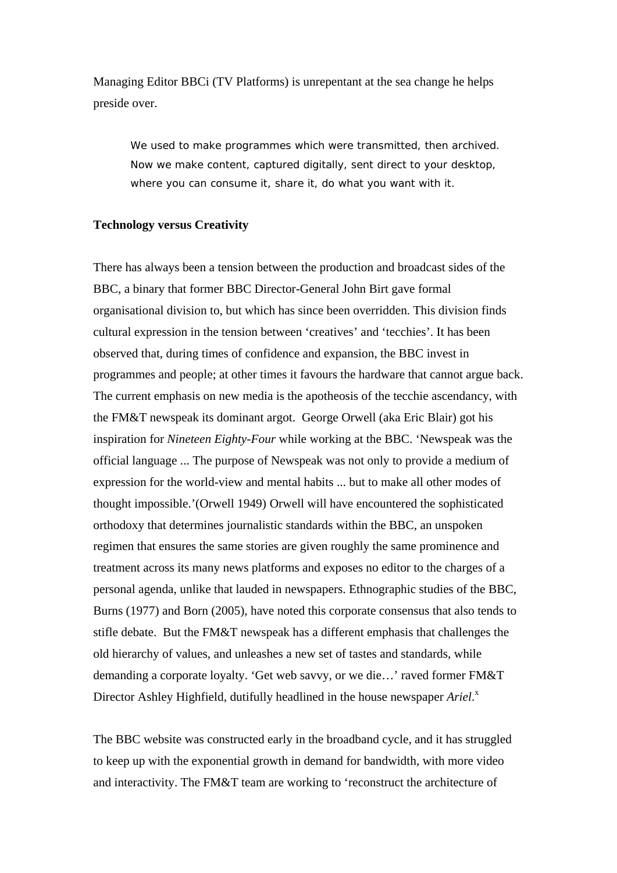Managing Editor BBCi (TV Platforms) is unrepentant at the sea change he helps preside over.

We used to make programmes which were transmitted, then archived. Now we make content, captured digitally, sent direct to your desktop, where you can consume it, share it, do what you want with it.

## **Technology versus Creativity**

There has always been a tension between the production and broadcast sides of the BBC, a binary that former BBC Director-General John Birt gave formal organisational division to, but which has since been overridden. This division finds cultural expression in the tension between 'creatives' and 'tecchies'. It has been observed that, during times of confidence and expansion, the BBC invest in programmes and people; at other times it favours the hardware that cannot argue back. The current emphasis on new media is the apotheosis of the tecchie ascendancy, with the FM&T newspeak its dominant argot. George Orwell (aka Eric Blair) got his inspiration for *Nineteen Eighty-Four* while working at the BBC. 'Newspeak was the official language ... The purpose of Newspeak was not only to provide a medium of expression for the world-view and mental habits ... but to make all other modes of thought impossible.'(Orwell 1949) Orwell will have encountered the sophisticated orthodoxy that determines journalistic standards within the BBC, an unspoken regimen that ensures the same stories are given roughly the same prominence and treatment across its many news platforms and exposes no editor to the charges of a personal agenda, unlike that lauded in newspapers. Ethnographic studies of the BBC, Burns (1977) and Born (2005), have noted this corporate consensus that also tends to stifle debate. But the FM&T newspeak has a different emphasis that challenges the old hierarchy of values, and unleashes a new set of tastes and standards, while demanding a corporate loyalty. 'Get web savvy, or we die…' raved former FM&T Director Ashley Highfield, dutifully headlined in the house newspaper Ariel.<sup>x</sup>

The BBC website was constructed early in the broadband cycle, and it has struggled to keep up with the exponential growth in demand for bandwidth, with more video and interactivity. The FM&T team are working to 'reconstruct the architecture of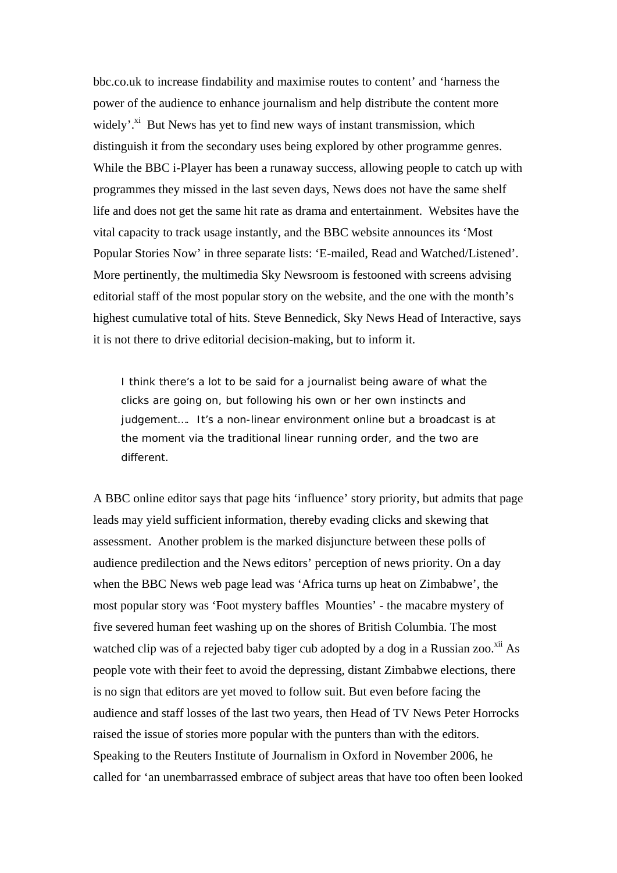bbc.co.uk to increase findability and maximise routes to content' and 'harness the power of the audience to enhance journalism and help distribute the content more widely'.<sup>xi</sup> But News has yet to find new ways of instant transmission, which distinguish it from the secondary uses being explored by other programme genres. While the BBC i-Player has been a runaway success, allowing people to catch up with programmes they missed in the last seven days, News does not have the same shelf life and does not get the same hit rate as drama and entertainment. Websites have the vital capacity to track usage instantly, and the BBC website announces its 'Most Popular Stories Now' in three separate lists: 'E-mailed, Read and Watched/Listened'. More pertinently, the multimedia Sky Newsroom is festooned with screens advising editorial staff of the most popular story on the website, and the one with the month's highest cumulative total of hits. Steve Bennedick, Sky News Head of Interactive, says it is not there to drive editorial decision-making, but to inform it.

I think there's a lot to be said for a journalist being aware of what the clicks are going on, but following his own or her own instincts and judgement…. It's a non-linear environment online but a broadcast is at the moment via the traditional linear running order, and the two are different.

A BBC online editor says that page hits 'influence' story priority, but admits that page leads may yield sufficient information, thereby evading clicks and skewing that assessment. Another problem is the marked disjuncture between these polls of audience predilection and the News editors' perception of news priority. On a day when the BBC News web page lead was 'Africa turns up heat on Zimbabwe', the most popular story was 'Foot mystery baffles Mounties' - the macabre mystery of five severed human feet washing up on the shores of British Columbia. The most watched clip was of a rejected baby tiger cub adopted by a dog in a Russian zoo.<sup>xii</sup> As people vote with their feet to avoid the depressing, distant Zimbabwe elections, there is no sign that editors are yet moved to follow suit. But even before facing the audience and staff losses of the last two years, then Head of TV News Peter Horrocks raised the issue of stories more popular with the punters than with the editors. Speaking to the Reuters Institute of Journalism in Oxford in November 2006, he called for 'an unembarrassed embrace of subject areas that have too often been looked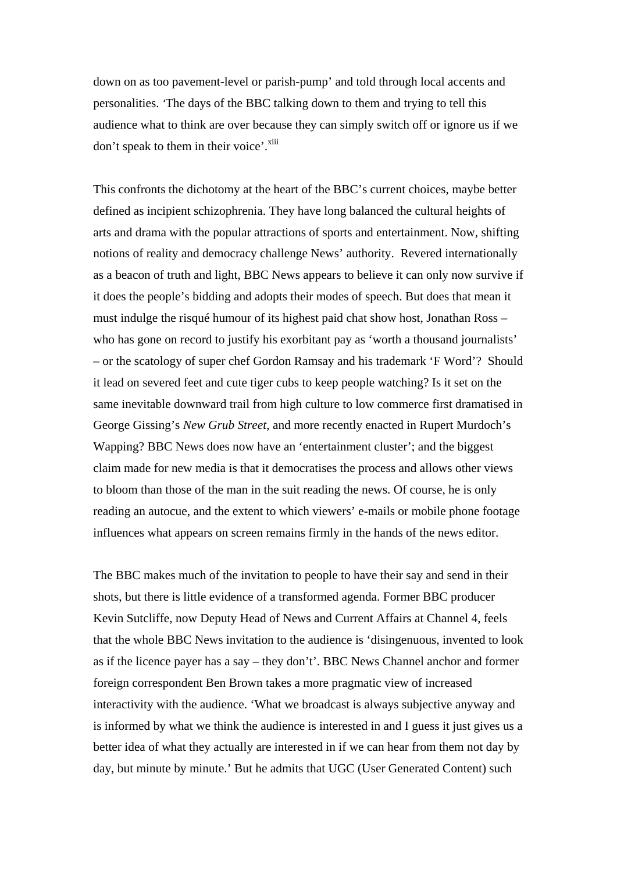down on as too pavement-level or parish-pump' and told through local accents and personalities. 'The days of the BBC talking down to them and trying to tell this audience what to think are over because they can simply switch off or ignore us if we don't speak to them in their voice'.<sup>xiii</sup>

This confronts the dichotomy at the heart of the BBC's current choices, maybe better defined as incipient schizophrenia. They have long balanced the cultural heights of arts and drama with the popular attractions of sports and entertainment. Now, shifting notions of reality and democracy challenge News' authority. Revered internationally as a beacon of truth and light, BBC News appears to believe it can only now survive if it does the people's bidding and adopts their modes of speech. But does that mean it must indulge the risqué humour of its highest paid chat show host, Jonathan Ross – who has gone on record to justify his exorbitant pay as 'worth a thousand journalists' – or the scatology of super chef Gordon Ramsay and his trademark 'F Word'? Should it lead on severed feet and cute tiger cubs to keep people watching? Is it set on the same inevitable downward trail from high culture to low commerce first dramatised in George Gissing's *New Grub Street*, and more recently enacted in Rupert Murdoch's Wapping? BBC News does now have an 'entertainment cluster'; and the biggest claim made for new media is that it democratises the process and allows other views to bloom than those of the man in the suit reading the news. Of course, he is only reading an autocue, and the extent to which viewers' e-mails or mobile phone footage influences what appears on screen remains firmly in the hands of the news editor.

The BBC makes much of the invitation to people to have their say and send in their shots, but there is little evidence of a transformed agenda. Former BBC producer Kevin Sutcliffe, now Deputy Head of News and Current Affairs at Channel 4, feels that the whole BBC News invitation to the audience is 'disingenuous, invented to look as if the licence payer has a say – they don't'. BBC News Channel anchor and former foreign correspondent Ben Brown takes a more pragmatic view of increased interactivity with the audience. 'What we broadcast is always subjective anyway and is informed by what we think the audience is interested in and I guess it just gives us a better idea of what they actually are interested in if we can hear from them not day by day, but minute by minute.' But he admits that UGC (User Generated Content) such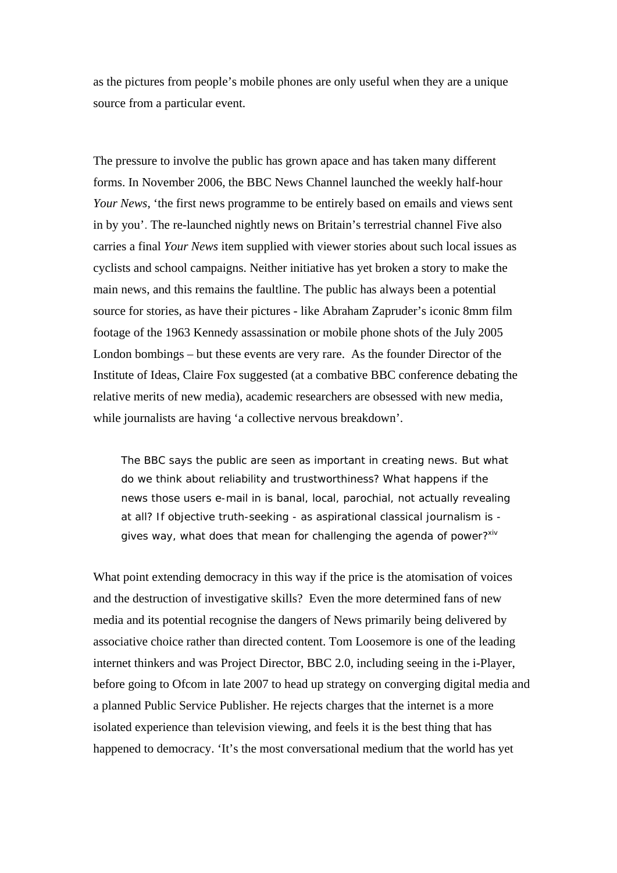as the pictures from people's mobile phones are only useful when they are a unique source from a particular event.

The pressure to involve the public has grown apace and has taken many different forms. In November 2006, the BBC News Channel launched the weekly half-hour *Your News*, 'the first news programme to be entirely based on emails and views sent in by you'. The re-launched nightly news on Britain's terrestrial channel Five also carries a final *Your News* item supplied with viewer stories about such local issues as cyclists and school campaigns. Neither initiative has yet broken a story to make the main news, and this remains the faultline. The public has always been a potential source for stories, as have their pictures - like Abraham Zapruder's iconic 8mm film footage of the 1963 Kennedy assassination or mobile phone shots of the July 2005 London bombings – but these events are very rare. As the founder Director of the Institute of Ideas, Claire Fox suggested (at a combative BBC conference debating the relative merits of new media), academic researchers are obsessed with new media, while journalists are having 'a collective nervous breakdown'.

The BBC says the public are seen as important in creating news. But what do we think about reliability and trustworthiness? What happens if the news those users e-mail in is banal, local, parochial, not actually revealing at all? If objective truth-seeking - as aspirational classical journalism is gives way, what does that mean for challenging the agenda of power?<sup>xiv</sup>

What point extending democracy in this way if the price is the atomisation of voices and the destruction of investigative skills? Even the more determined fans of new media and its potential recognise the dangers of News primarily being delivered by associative choice rather than directed content. Tom Loosemore is one of the leading internet thinkers and was Project Director, BBC 2.0, including seeing in the i-Player, before going to Ofcom in late 2007 to head up strategy on converging digital media and a planned Public Service Publisher. He rejects charges that the internet is a more isolated experience than television viewing, and feels it is the best thing that has happened to democracy. 'It's the most conversational medium that the world has yet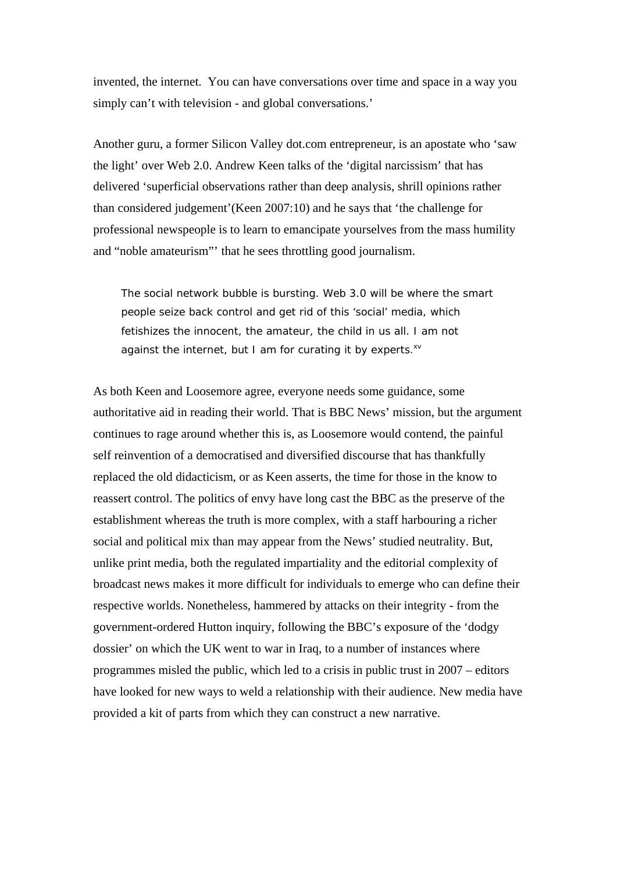invented, the internet. You can have conversations over time and space in a way you simply can't with television - and global conversations.'

Another guru, a former Silicon Valley dot.com entrepreneur, is an apostate who 'saw the light' over Web 2.0. Andrew Keen talks of the 'digital narcissism' that has delivered 'superficial observations rather than deep analysis, shrill opinions rather than considered judgement'(Keen 2007:10) and he says that 'the challenge for professional newspeople is to learn to emancipate yourselves from the mass humility and "noble amateurism"' that he sees throttling good journalism.

The social network bubble is bursting. Web 3.0 will be where the smart people seize back control and get rid of this 'social' media, which fetishizes the innocent, the amateur, the child in us all. I am not against the internet, but I am for curating it by experts. $x^2$ 

As both Keen and Loosemore agree, everyone needs some guidance, some authoritative aid in reading their world. That is BBC News' mission, but the argument continues to rage around whether this is, as Loosemore would contend, the painful self reinvention of a democratised and diversified discourse that has thankfully replaced the old didacticism, or as Keen asserts, the time for those in the know to reassert control. The politics of envy have long cast the BBC as the preserve of the establishment whereas the truth is more complex, with a staff harbouring a richer social and political mix than may appear from the News' studied neutrality. But, unlike print media, both the regulated impartiality and the editorial complexity of broadcast news makes it more difficult for individuals to emerge who can define their respective worlds. Nonetheless, hammered by attacks on their integrity - from the government-ordered Hutton inquiry, following the BBC's exposure of the 'dodgy dossier' on which the UK went to war in Iraq, to a number of instances where programmes misled the public, which led to a crisis in public trust in 2007 – editors have looked for new ways to weld a relationship with their audience. New media have provided a kit of parts from which they can construct a new narrative.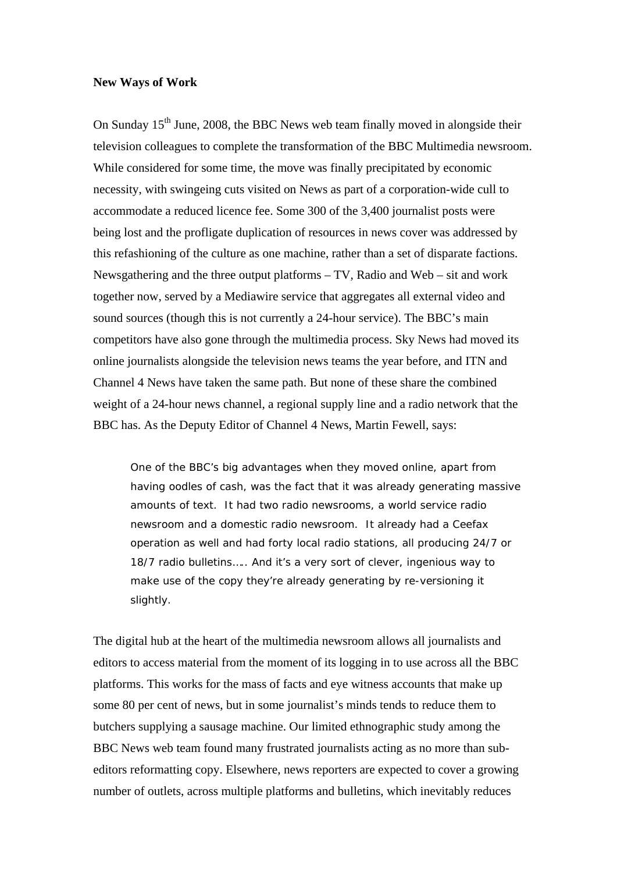## **New Ways of Work**

On Sunday  $15<sup>th</sup>$  June, 2008, the BBC News web team finally moved in alongside their television colleagues to complete the transformation of the BBC Multimedia newsroom. While considered for some time, the move was finally precipitated by economic necessity, with swingeing cuts visited on News as part of a corporation-wide cull to accommodate a reduced licence fee. Some 300 of the 3,400 journalist posts were being lost and the profligate duplication of resources in news cover was addressed by this refashioning of the culture as one machine, rather than a set of disparate factions. Newsgathering and the three output platforms – TV, Radio and Web – sit and work together now, served by a Mediawire service that aggregates all external video and sound sources (though this is not currently a 24-hour service). The BBC's main competitors have also gone through the multimedia process. Sky News had moved its online journalists alongside the television news teams the year before, and ITN and Channel 4 News have taken the same path. But none of these share the combined weight of a 24-hour news channel, a regional supply line and a radio network that the BBC has. As the Deputy Editor of Channel 4 News, Martin Fewell, says:

One of the BBC's big advantages when they moved online, apart from having oodles of cash, was the fact that it was already generating massive amounts of text. It had two radio newsrooms, a world service radio newsroom and a domestic radio newsroom. It already had a Ceefax operation as well and had forty local radio stations, all producing 24/7 or 18/7 radio bulletins….. And it's a very sort of clever, ingenious way to make use of the copy they're already generating by re-versioning it slightly.

The digital hub at the heart of the multimedia newsroom allows all journalists and editors to access material from the moment of its logging in to use across all the BBC platforms. This works for the mass of facts and eye witness accounts that make up some 80 per cent of news, but in some journalist's minds tends to reduce them to butchers supplying a sausage machine. Our limited ethnographic study among the BBC News web team found many frustrated journalists acting as no more than subeditors reformatting copy. Elsewhere, news reporters are expected to cover a growing number of outlets, across multiple platforms and bulletins, which inevitably reduces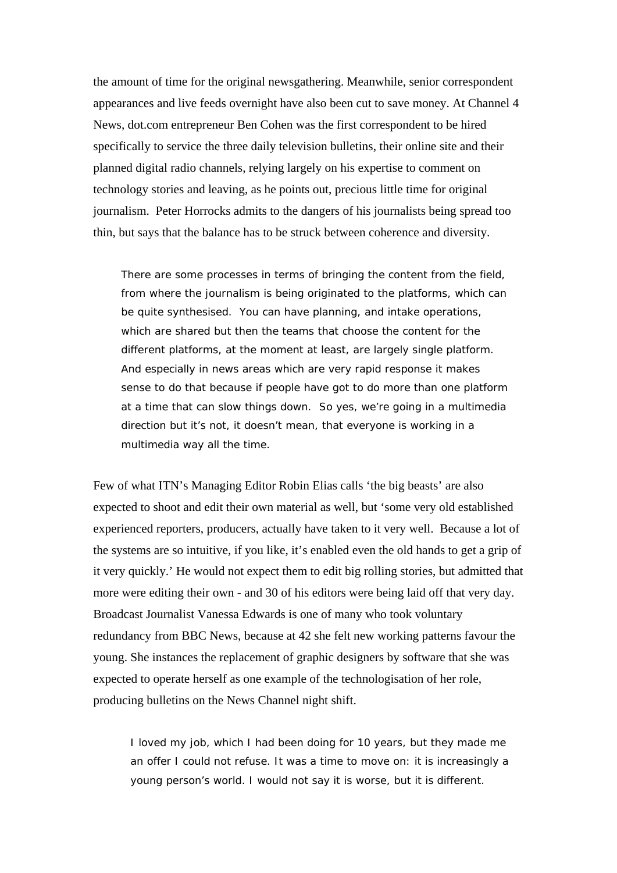the amount of time for the original newsgathering. Meanwhile, senior correspondent appearances and live feeds overnight have also been cut to save money. At Channel 4 News, dot.com entrepreneur Ben Cohen was the first correspondent to be hired specifically to service the three daily television bulletins, their online site and their planned digital radio channels, relying largely on his expertise to comment on technology stories and leaving, as he points out, precious little time for original journalism. Peter Horrocks admits to the dangers of his journalists being spread too thin, but says that the balance has to be struck between coherence and diversity.

There are some processes in terms of bringing the content from the field, from where the journalism is being originated to the platforms, which can be quite synthesised. You can have planning, and intake operations, which are shared but then the teams that choose the content for the different platforms, at the moment at least, are largely single platform. And especially in news areas which are very rapid response it makes sense to do that because if people have got to do more than one platform at a time that can slow things down. So yes, we're going in a multimedia direction but it's not, it doesn't mean, that everyone is working in a multimedia way all the time.

Few of what ITN's Managing Editor Robin Elias calls 'the big beasts' are also expected to shoot and edit their own material as well, but 'some very old established experienced reporters, producers, actually have taken to it very well. Because a lot of the systems are so intuitive, if you like, it's enabled even the old hands to get a grip of it very quickly.' He would not expect them to edit big rolling stories, but admitted that more were editing their own - and 30 of his editors were being laid off that very day. Broadcast Journalist Vanessa Edwards is one of many who took voluntary redundancy from BBC News, because at 42 she felt new working patterns favour the young. She instances the replacement of graphic designers by software that she was expected to operate herself as one example of the technologisation of her role, producing bulletins on the News Channel night shift.

I loved my job, which I had been doing for 10 years, but they made me an offer I could not refuse. It was a time to move on: it is increasingly a young person's world. I would not say it is worse, but it is different.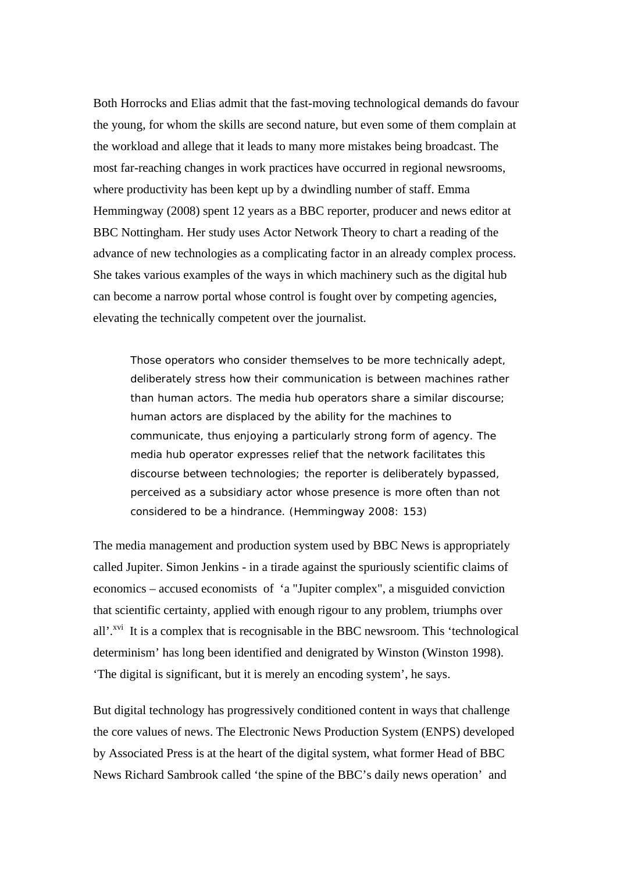Both Horrocks and Elias admit that the fast-moving technological demands do favour the young, for whom the skills are second nature, but even some of them complain at the workload and allege that it leads to many more mistakes being broadcast. The most far-reaching changes in work practices have occurred in regional newsrooms, where productivity has been kept up by a dwindling number of staff. Emma Hemmingway (2008) spent 12 years as a BBC reporter, producer and news editor at BBC Nottingham. Her study uses Actor Network Theory to chart a reading of the advance of new technologies as a complicating factor in an already complex process. She takes various examples of the ways in which machinery such as the digital hub can become a narrow portal whose control is fought over by competing agencies, elevating the technically competent over the journalist.

Those operators who consider themselves to be more technically adept, deliberately stress how their communication is between machines rather than human actors. The media hub operators share a similar discourse; human actors are displaced by the ability for the machines to communicate, thus enjoying a particularly strong form of agency. The media hub operator expresses relief that the network facilitates this discourse between technologies; the reporter is deliberately bypassed, perceived as a subsidiary actor whose presence is more often than not considered to be a hindrance. (Hemmingway 2008: 153)

The media management and production system used by BBC News is appropriately called Jupiter. Simon Jenkins - in a tirade against the spuriously scientific claims of economics – accused economists of 'a "Jupiter complex", a misguided conviction that scientific certainty, applied with enough rigour to any problem, triumphs over all'.<sup>xvi</sup> It is a complex that is recognisable in the BBC newsroom. This 'technological determinism' has long been identified and denigrated by Winston (Winston 1998). 'The digital is significant, but it is merely an encoding system', he says.

But digital technology has progressively conditioned content in ways that challenge the core values of news. The Electronic News Production System (ENPS) developed by Associated Press is at the heart of the digital system, what former Head of BBC News Richard Sambrook called 'the spine of the BBC's daily news operation' and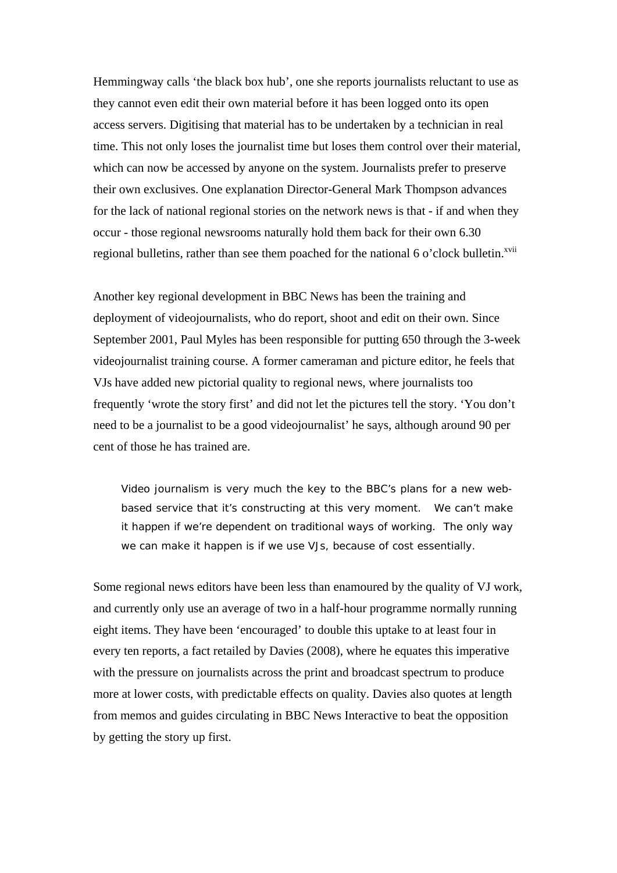Hemmingway calls 'the black box hub', one she reports journalists reluctant to use as they cannot even edit their own material before it has been logged onto its open access servers. Digitising that material has to be undertaken by a technician in real time. This not only loses the journalist time but loses them control over their material, which can now be accessed by anyone on the system. Journalists prefer to preserve their own exclusives. One explanation Director-General Mark Thompson advances for the lack of national regional stories on the network news is that - if and when they occur - those regional newsrooms naturally hold them back for their own 6.30 regional bulletins, rather than see them poached for the national 6 o'clock bulletin.<sup>xvii</sup>

Another key regional development in BBC News has been the training and deployment of videojournalists, who do report, shoot and edit on their own. Since September 2001, Paul Myles has been responsible for putting 650 through the 3-week videojournalist training course. A former cameraman and picture editor, he feels that VJs have added new pictorial quality to regional news, where journalists too frequently 'wrote the story first' and did not let the pictures tell the story. 'You don't need to be a journalist to be a good videojournalist' he says, although around 90 per cent of those he has trained are.

Video journalism is very much the key to the BBC's plans for a new webbased service that it's constructing at this very moment. We can't make it happen if we're dependent on traditional ways of working. The only way we can make it happen is if we use VJs, because of cost essentially.

Some regional news editors have been less than enamoured by the quality of VJ work, and currently only use an average of two in a half-hour programme normally running eight items. They have been 'encouraged' to double this uptake to at least four in every ten reports, a fact retailed by Davies (2008), where he equates this imperative with the pressure on journalists across the print and broadcast spectrum to produce more at lower costs, with predictable effects on quality. Davies also quotes at length from memos and guides circulating in BBC News Interactive to beat the opposition by getting the story up first.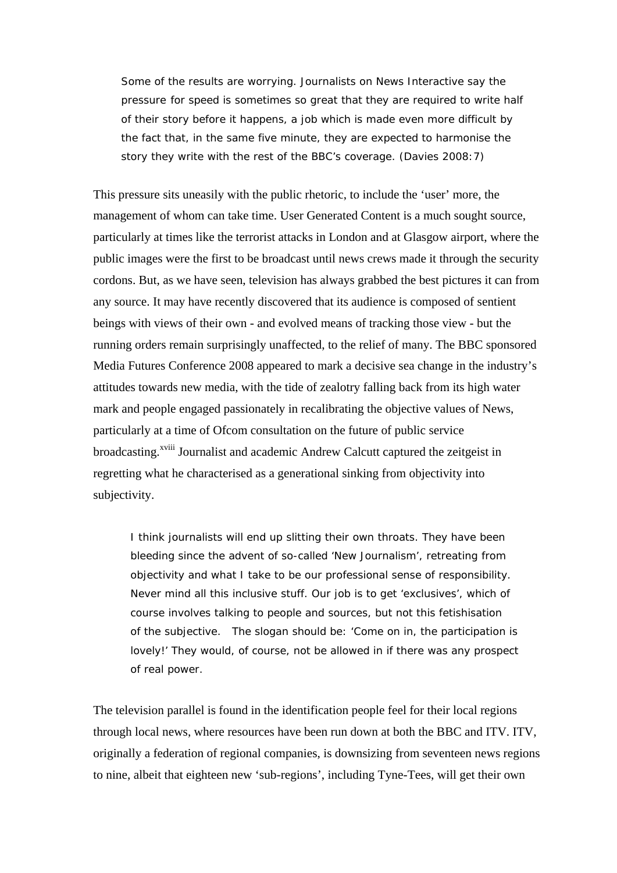Some of the results are worrying. Journalists on News Interactive say the pressure for speed is sometimes so great that they are required to write half of their story before it happens, a job which is made even more difficult by the fact that, in the same five minute, they are expected to harmonise the story they write with the rest of the BBC's coverage. (Davies 2008:7)

This pressure sits uneasily with the public rhetoric, to include the 'user' more, the management of whom can take time. User Generated Content is a much sought source, particularly at times like the terrorist attacks in London and at Glasgow airport, where the public images were the first to be broadcast until news crews made it through the security cordons. But, as we have seen, television has always grabbed the best pictures it can from any source. It may have recently discovered that its audience is composed of sentient beings with views of their own - and evolved means of tracking those view - but the running orders remain surprisingly unaffected, to the relief of many. The BBC sponsored Media Futures Conference 2008 appeared to mark a decisive sea change in the industry's attitudes towards new media, with the tide of zealotry falling back from its high water mark and people engaged passionately in recalibrating the objective values of News, particularly at a time of Ofcom consultation on the future of public service broadcasting.<sup>xviii</sup> Journalist and academic Andrew Calcutt captured the zeitgeist in regretting what he characterised as a generational sinking from objectivity into subjectivity.

I think journalists will end up slitting their own throats. They have been bleeding since the advent of so-called 'New Journalism', retreating from objectivity and what I take to be our professional sense of responsibility. Never mind all this *inclusive* stuff. Our job is to get '*exclusives*', which of course involves talking to people and sources, but not this fetishisation of the subjective. The slogan should be: 'Come on in, the participation is lovely!' They would, of course, not be allowed in if there was any prospect of real power.

The television parallel is found in the identification people feel for their local regions through local news, where resources have been run down at both the BBC and ITV. ITV, originally a federation of regional companies, is downsizing from seventeen news regions to nine, albeit that eighteen new 'sub-regions', including Tyne-Tees, will get their own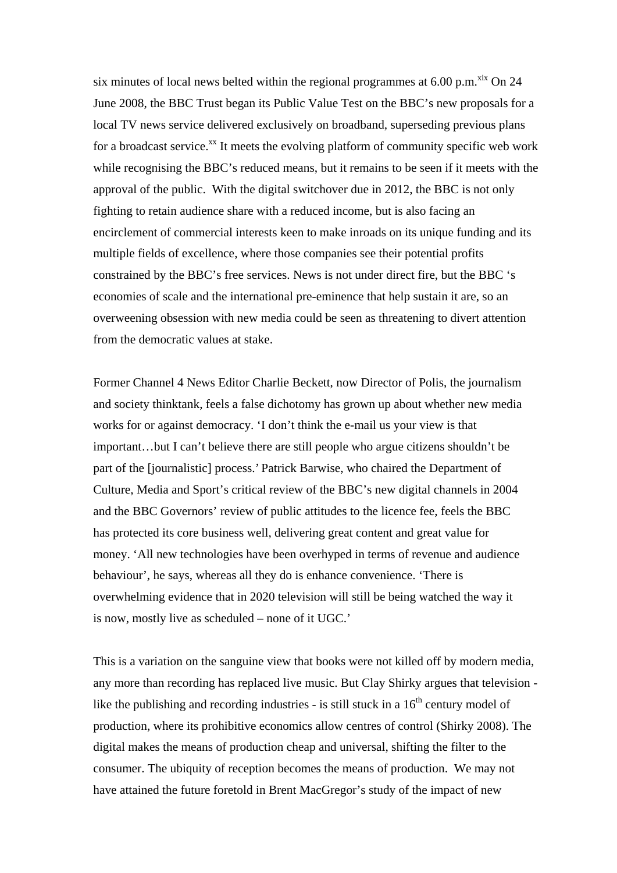six minutes of local news belted within the regional programmes at  $6.00$  p.m.<sup>xix</sup> On 24 June 2008, the BBC Trust began its Public Value Test on the BBC's new proposals for a local TV news service delivered exclusively on broadband, superseding previous plans for a broadcast service. $^{xx}$  It meets the evolving platform of community specific web work while recognising the BBC's reduced means, but it remains to be seen if it meets with the approval of the public. With the digital switchover due in 2012, the BBC is not only fighting to retain audience share with a reduced income, but is also facing an encirclement of commercial interests keen to make inroads on its unique funding and its multiple fields of excellence, where those companies see their potential profits constrained by the BBC's free services. News is not under direct fire, but the BBC 's economies of scale and the international pre-eminence that help sustain it are, so an overweening obsession with new media could be seen as threatening to divert attention from the democratic values at stake.

Former Channel 4 News Editor Charlie Beckett, now Director of Polis, the journalism and society thinktank, feels a false dichotomy has grown up about whether new media works for or against democracy. 'I don't think the e-mail us your view is that important…but I can't believe there are still people who argue citizens shouldn't be part of the [journalistic] process.' Patrick Barwise, who chaired the Department of Culture, Media and Sport's critical review of the BBC's new digital channels in 2004 and the BBC Governors' review of public attitudes to the licence fee, feels the BBC has protected its core business well, delivering great content and great value for money. 'All new technologies have been overhyped in terms of revenue and audience behaviour', he says, whereas all they do is enhance convenience. 'There is overwhelming evidence that in 2020 television will still be being watched the way it is now, mostly live as scheduled – none of it UGC.'

This is a variation on the sanguine view that books were not killed off by modern media, any more than recording has replaced live music. But Clay Shirky argues that television like the publishing and recording industries - is still stuck in a  $16<sup>th</sup>$  century model of production, where its prohibitive economics allow centres of control (Shirky 2008). The digital makes the means of production cheap and universal, shifting the filter to the consumer. The ubiquity of reception becomes the means of production. We may not have attained the future foretold in Brent MacGregor's study of the impact of new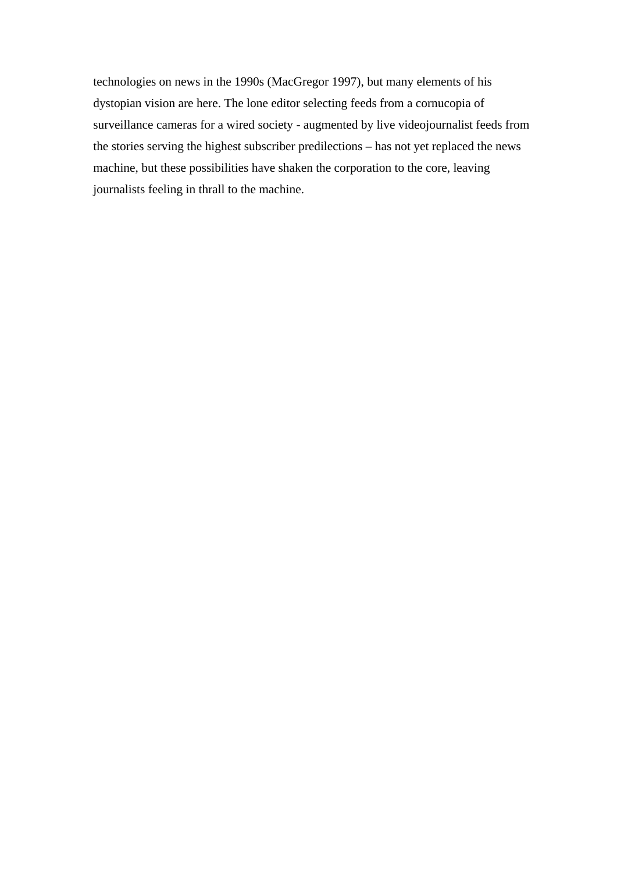technologies on news in the 1990s (MacGregor 1997), but many elements of his dystopian vision are here. The lone editor selecting feeds from a cornucopia of surveillance cameras for a wired society - augmented by live videojournalist feeds from the stories serving the highest subscriber predilections – has not yet replaced the news machine, but these possibilities have shaken the corporation to the core, leaving journalists feeling in thrall to the machine.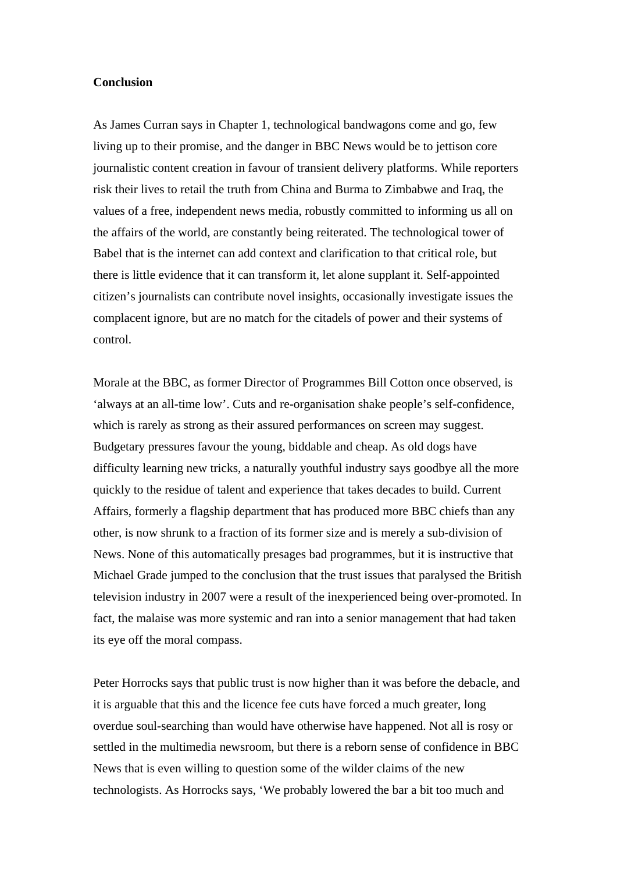# **Conclusion**

As James Curran says in Chapter 1, technological bandwagons come and go, few living up to their promise, and the danger in BBC News would be to jettison core journalistic content creation in favour of transient delivery platforms. While reporters risk their lives to retail the truth from China and Burma to Zimbabwe and Iraq, the values of a free, independent news media, robustly committed to informing us all on the affairs of the world, are constantly being reiterated. The technological tower of Babel that is the internet can add context and clarification to that critical role, but there is little evidence that it can transform it, let alone supplant it. Self-appointed citizen's journalists can contribute novel insights, occasionally investigate issues the complacent ignore, but are no match for the citadels of power and their systems of control.

Morale at the BBC, as former Director of Programmes Bill Cotton once observed, is 'always at an all-time low'. Cuts and re-organisation shake people's self-confidence, which is rarely as strong as their assured performances on screen may suggest. Budgetary pressures favour the young, biddable and cheap. As old dogs have difficulty learning new tricks, a naturally youthful industry says goodbye all the more quickly to the residue of talent and experience that takes decades to build. Current Affairs, formerly a flagship department that has produced more BBC chiefs than any other, is now shrunk to a fraction of its former size and is merely a sub-division of News. None of this automatically presages bad programmes, but it is instructive that Michael Grade jumped to the conclusion that the trust issues that paralysed the British television industry in 2007 were a result of the inexperienced being over-promoted. In fact, the malaise was more systemic and ran into a senior management that had taken its eye off the moral compass.

Peter Horrocks says that public trust is now higher than it was before the debacle, and it is arguable that this and the licence fee cuts have forced a much greater, long overdue soul-searching than would have otherwise have happened. Not all is rosy or settled in the multimedia newsroom, but there is a reborn sense of confidence in BBC News that is even willing to question some of the wilder claims of the new technologists. As Horrocks says, 'We probably lowered the bar a bit too much and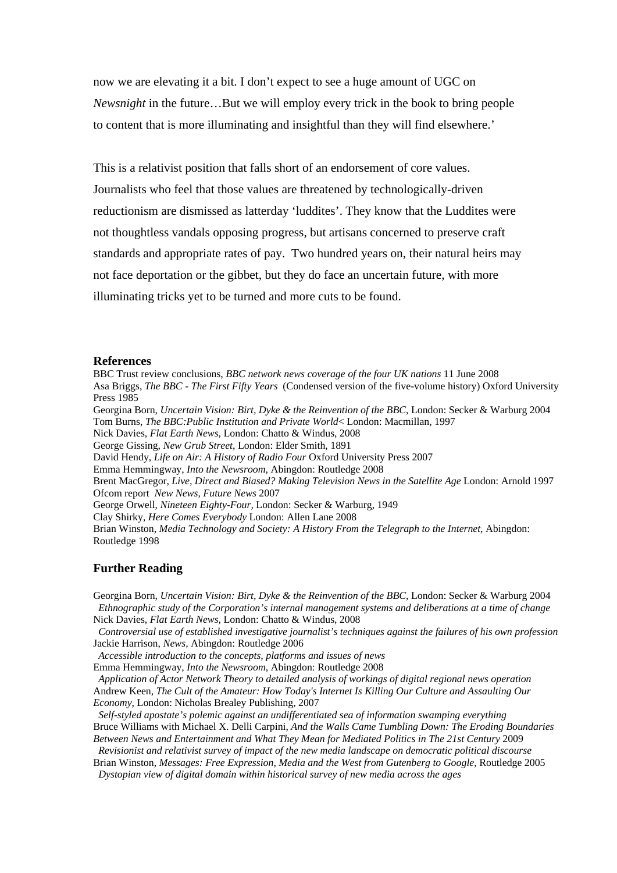now we are elevating it a bit. I don't expect to see a huge amount of UGC on *Newsnight* in the future…But we will employ every trick in the book to bring people to content that is more illuminating and insightful than they will find elsewhere.'

This is a relativist position that falls short of an endorsement of core values. Journalists who feel that those values are threatened by technologically-driven reductionism are dismissed as latterday 'luddites'. They know that the Luddites were not thoughtless vandals opposing progress, but artisans concerned to preserve craft standards and appropriate rates of pay. Two hundred years on, their natural heirs may not face deportation or the gibbet, but they do face an uncertain future, with more illuminating tricks yet to be turned and more cuts to be found.

#### **References**

BBC Trust review conclusions, *BBC network news coverage of the four UK nations* 11 June 2008 Asa Briggs, *The BBC - The First Fifty Years* (Condensed version of the five-volume history) Oxford University Press 1985 Georgina Born, *Uncertain Vision: Birt, Dyke & the Reinvention of the BBC*, London: Secker & Warburg 2004 Tom Burns, *The BBC:Public Institution and Private World*< London: Macmillan, 1997 Nick Davies, *Flat Earth News,* London: Chatto & Windus, 2008 George Gissing, *New Grub Street*, London: Elder Smith, 1891 David Hendy, *Life on Air: A History of Radio Four* Oxford University Press 2007 Emma Hemmingway, *Into the Newsroom*, Abingdon: Routledge 2008 Brent MacGregor, *Live, Direct and Biased? Making Television News in the Satellite Age* London: Arnold 1997 Ofcom report *New News, Future News* 2007 George Orwell, *Nineteen Eighty-Four,* London: Secker & Warburg, 1949 Clay Shirky, *Here Comes Everybody* London: Allen Lane 2008 Brian Winston, *Media Technology and Society: A History From the Telegraph to the Internet*, Abingdon: Routledge 1998

#### **Further Reading**

Georgina Born, *Uncertain Vision: Birt, Dyke & the Reinvention of the BBC*, London: Secker & Warburg 2004  *Ethnographic study of the Corporation's internal management systems and deliberations at a time of change*  Nick Davies, *Flat Earth News,* London: Chatto & Windus, 2008

 *Controversial use of established investigative journalist's techniques against the failures of his own profession*  Jackie Harrison, *News,* Abingdon: Routledge 2006

 *Accessible introduction to the concepts, platforms and issues of news* 

Emma Hemmingway, *Into the Newsroom,* Abingdon: Routledge 2008

 *Application of Actor Network Theory to detailed analysis of workings of digital regional news operation*  Andrew Keen, *The Cult of the Amateur: How Today's Internet Is Killing Our Culture and Assaulting Our Economy*, London: Nicholas Brealey Publishing, 2007

 *Self-styled apostate's polemic against an undifferentiated sea of information swamping everything*  Bruce Williams with Michael X. Delli Carpini, *And the Walls Came Tumbling Down: The Eroding Boundaries Between News and Entertainment and What They Mean for Mediated Politics in The 21st Century* 2009

 *Revisionist and relativist survey of impact of the new media landscape on democratic political discourse*  Brian Winston, *Messages: Free Expression, Media and the West from Gutenberg to Google*, Routledge 2005 *Dystopian view of digital domain within historical survey of new media across the ages*